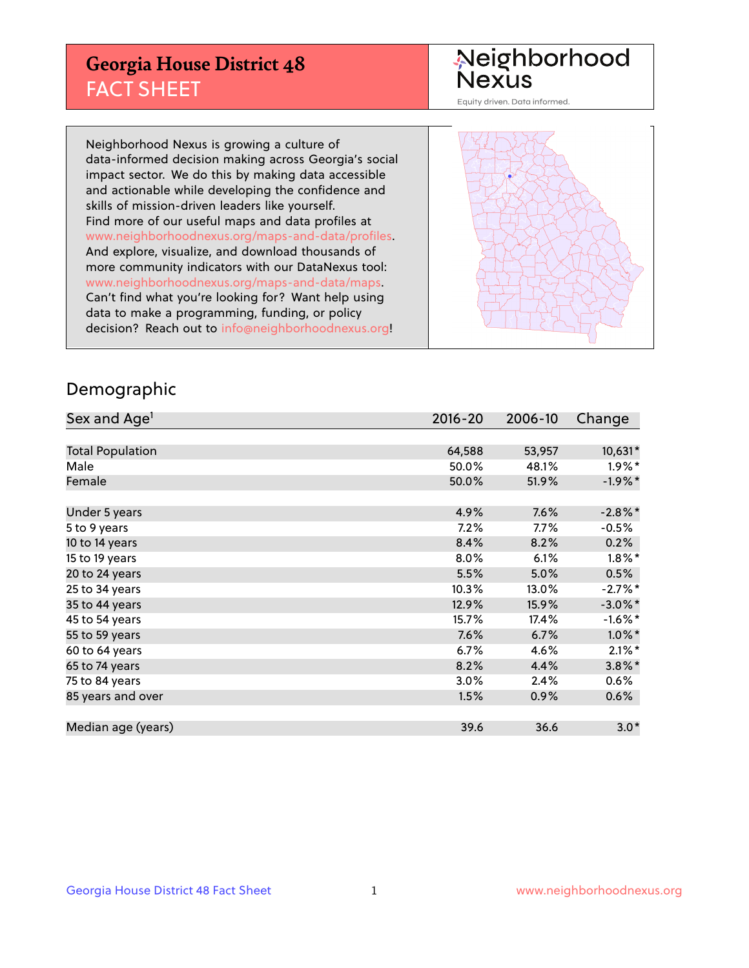## **Georgia House District 48** FACT SHEET

# Neighborhood<br>Nexus

Equity driven. Data informed.

Neighborhood Nexus is growing a culture of data-informed decision making across Georgia's social impact sector. We do this by making data accessible and actionable while developing the confidence and skills of mission-driven leaders like yourself. Find more of our useful maps and data profiles at www.neighborhoodnexus.org/maps-and-data/profiles. And explore, visualize, and download thousands of more community indicators with our DataNexus tool: www.neighborhoodnexus.org/maps-and-data/maps. Can't find what you're looking for? Want help using data to make a programming, funding, or policy decision? Reach out to [info@neighborhoodnexus.org!](mailto:info@neighborhoodnexus.org)



#### Demographic

| Sex and Age <sup>1</sup> | $2016 - 20$ | 2006-10 | Change     |
|--------------------------|-------------|---------|------------|
|                          |             |         |            |
| <b>Total Population</b>  | 64,588      | 53,957  | 10,631*    |
| Male                     | 50.0%       | 48.1%   | $1.9\%$ *  |
| Female                   | 50.0%       | 51.9%   | $-1.9%$ *  |
|                          |             |         |            |
| Under 5 years            | 4.9%        | 7.6%    | $-2.8\%$ * |
| 5 to 9 years             | 7.2%        | $7.7\%$ | $-0.5%$    |
| 10 to 14 years           | 8.4%        | 8.2%    | 0.2%       |
| 15 to 19 years           | 8.0%        | 6.1%    | $1.8\%$ *  |
| 20 to 24 years           | 5.5%        | 5.0%    | 0.5%       |
| 25 to 34 years           | 10.3%       | 13.0%   | $-2.7%$ *  |
| 35 to 44 years           | 12.9%       | 15.9%   | $-3.0\%$ * |
| 45 to 54 years           | 15.7%       | 17.4%   | $-1.6\%$ * |
| 55 to 59 years           | 7.6%        | 6.7%    | $1.0\%$ *  |
| 60 to 64 years           | 6.7%        | 4.6%    | $2.1\%$ *  |
| 65 to 74 years           | 8.2%        | 4.4%    | $3.8\%$ *  |
| 75 to 84 years           | 3.0%        | 2.4%    | $0.6\%$    |
| 85 years and over        | 1.5%        | 0.9%    | 0.6%       |
|                          |             |         |            |
| Median age (years)       | 39.6        | 36.6    | $3.0*$     |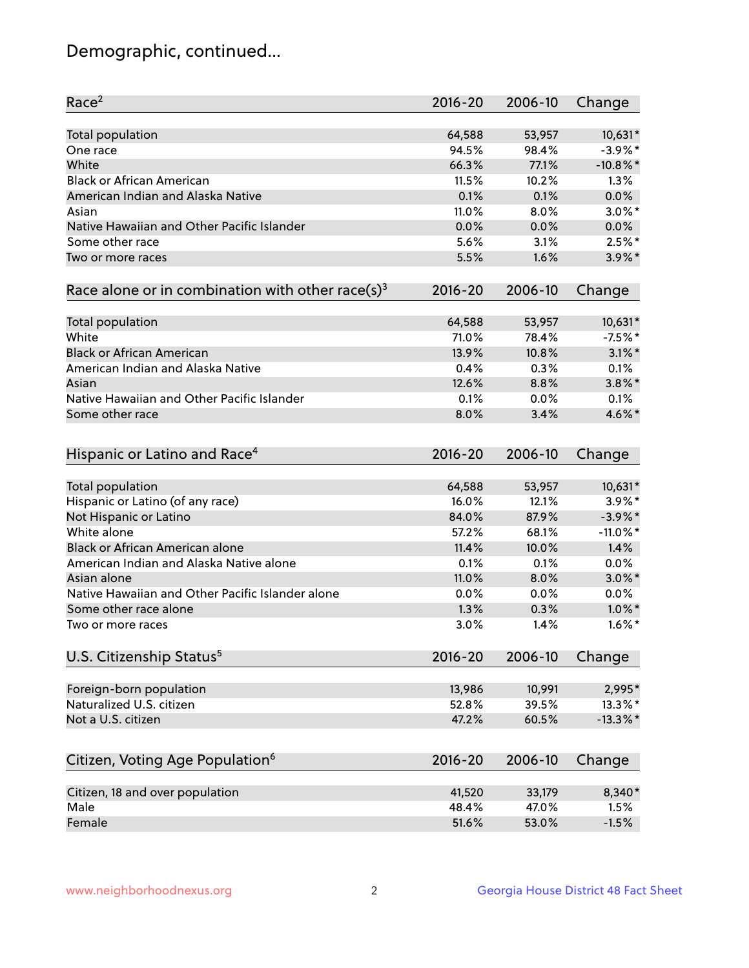## Demographic, continued...

| Race <sup>2</sup>                                            | $2016 - 20$ | 2006-10 | Change      |
|--------------------------------------------------------------|-------------|---------|-------------|
| <b>Total population</b>                                      | 64,588      | 53,957  | 10,631*     |
| One race                                                     | 94.5%       | 98.4%   | $-3.9\%$ *  |
| White                                                        | 66.3%       | 77.1%   | $-10.8\%$ * |
| <b>Black or African American</b>                             | 11.5%       | 10.2%   | 1.3%        |
| American Indian and Alaska Native                            | 0.1%        | 0.1%    | 0.0%        |
| Asian                                                        | 11.0%       | 8.0%    | $3.0\%$ *   |
| Native Hawaiian and Other Pacific Islander                   | 0.0%        | 0.0%    | 0.0%        |
| Some other race                                              | 5.6%        | 3.1%    | $2.5\%$ *   |
| Two or more races                                            | 5.5%        | 1.6%    | $3.9\%$ *   |
| Race alone or in combination with other race(s) <sup>3</sup> | $2016 - 20$ | 2006-10 | Change      |
| Total population                                             | 64,588      | 53,957  | 10,631*     |
| White                                                        | 71.0%       | 78.4%   | $-7.5%$ *   |
| <b>Black or African American</b>                             | 13.9%       | 10.8%   | $3.1\%$ *   |
| American Indian and Alaska Native                            | 0.4%        | 0.3%    | 0.1%        |
| Asian                                                        | 12.6%       | 8.8%    | $3.8\%$ *   |
| Native Hawaiian and Other Pacific Islander                   | 0.1%        | 0.0%    | 0.1%        |
| Some other race                                              | 8.0%        | 3.4%    | 4.6%*       |
| Hispanic or Latino and Race <sup>4</sup>                     | $2016 - 20$ | 2006-10 | Change      |
| Total population                                             | 64,588      | 53,957  | 10,631*     |
| Hispanic or Latino (of any race)                             | 16.0%       | 12.1%   | $3.9\%$ *   |
| Not Hispanic or Latino                                       | 84.0%       | 87.9%   | $-3.9\%$ *  |
| White alone                                                  | 57.2%       | 68.1%   | $-11.0\%$ * |
| <b>Black or African American alone</b>                       | 11.4%       | 10.0%   | 1.4%        |
| American Indian and Alaska Native alone                      | 0.1%        | 0.1%    | 0.0%        |
| Asian alone                                                  | 11.0%       | 8.0%    | $3.0\%$ *   |
| Native Hawaiian and Other Pacific Islander alone             | 0.0%        | 0.0%    | 0.0%        |
| Some other race alone                                        | 1.3%        | 0.3%    | $1.0\%$ *   |
| Two or more races                                            | 3.0%        | 1.4%    | $1.6\%$ *   |
| U.S. Citizenship Status <sup>5</sup>                         | $2016 - 20$ | 2006-10 | Change      |
|                                                              |             |         |             |
| Foreign-born population                                      | 13,986      | 10,991  | 2,995*      |
| Naturalized U.S. citizen                                     | 52.8%       | 39.5%   | 13.3%*      |
| Not a U.S. citizen                                           | 47.2%       | 60.5%   | $-13.3\%$ * |
| Citizen, Voting Age Population <sup>6</sup>                  | $2016 - 20$ | 2006-10 | Change      |
| Citizen, 18 and over population                              | 41,520      | 33,179  | 8,340*      |
| Male                                                         | 48.4%       | 47.0%   | 1.5%        |
| Female                                                       | 51.6%       | 53.0%   | $-1.5%$     |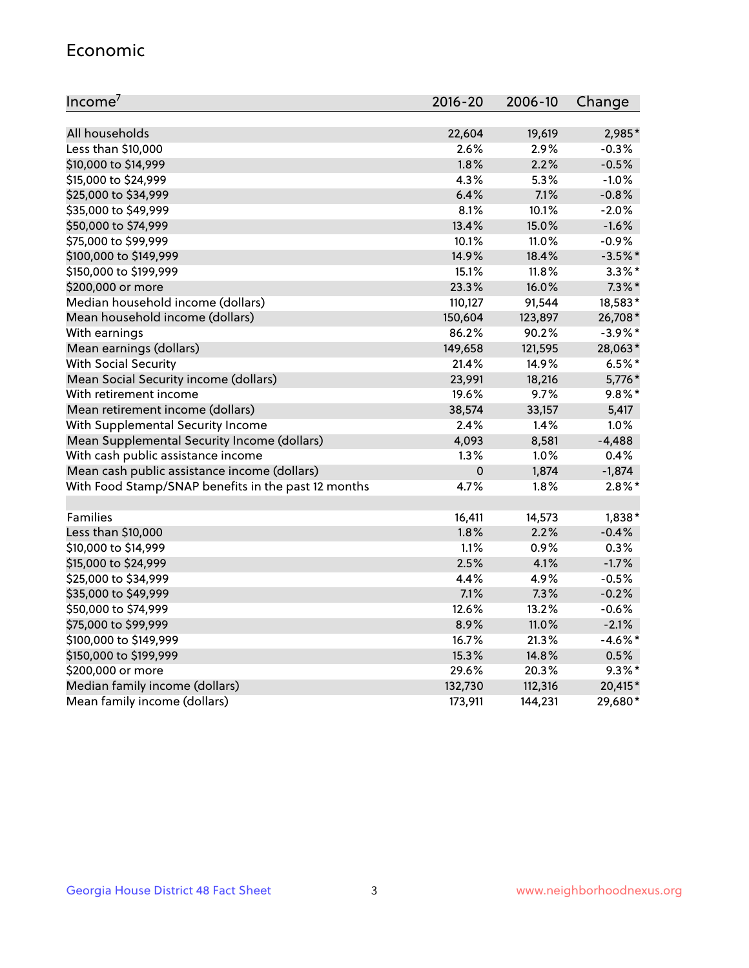#### Economic

| Income <sup>7</sup>                                 | $2016 - 20$ | 2006-10 | Change     |
|-----------------------------------------------------|-------------|---------|------------|
|                                                     |             |         |            |
| All households                                      | 22,604      | 19,619  | 2,985*     |
| Less than \$10,000                                  | 2.6%        | 2.9%    | $-0.3%$    |
| \$10,000 to \$14,999                                | 1.8%        | 2.2%    | $-0.5%$    |
| \$15,000 to \$24,999                                | 4.3%        | 5.3%    | $-1.0%$    |
| \$25,000 to \$34,999                                | 6.4%        | 7.1%    | $-0.8%$    |
| \$35,000 to \$49,999                                | 8.1%        | 10.1%   | $-2.0%$    |
| \$50,000 to \$74,999                                | 13.4%       | 15.0%   | $-1.6%$    |
| \$75,000 to \$99,999                                | 10.1%       | 11.0%   | $-0.9%$    |
| \$100,000 to \$149,999                              | 14.9%       | 18.4%   | $-3.5%$ *  |
| \$150,000 to \$199,999                              | 15.1%       | 11.8%   | $3.3\%$ *  |
| \$200,000 or more                                   | 23.3%       | 16.0%   | $7.3\%$ *  |
| Median household income (dollars)                   | 110,127     | 91,544  | 18,583*    |
| Mean household income (dollars)                     | 150,604     | 123,897 | 26,708*    |
| With earnings                                       | 86.2%       | 90.2%   | $-3.9\%$ * |
| Mean earnings (dollars)                             | 149,658     | 121,595 | 28,063*    |
| <b>With Social Security</b>                         | 21.4%       | 14.9%   | $6.5%$ *   |
| Mean Social Security income (dollars)               | 23,991      | 18,216  | 5,776*     |
| With retirement income                              | 19.6%       | 9.7%    | $9.8\%$ *  |
| Mean retirement income (dollars)                    | 38,574      | 33,157  | 5,417      |
| With Supplemental Security Income                   | $2.4\%$     | 1.4%    | 1.0%       |
| Mean Supplemental Security Income (dollars)         | 4,093       | 8,581   | $-4,488$   |
| With cash public assistance income                  | 1.3%        | 1.0%    | 0.4%       |
| Mean cash public assistance income (dollars)        | $\mathbf 0$ | 1,874   | $-1,874$   |
| With Food Stamp/SNAP benefits in the past 12 months | 4.7%        | 1.8%    | $2.8\%$ *  |
|                                                     |             |         |            |
| Families                                            | 16,411      | 14,573  | $1,838*$   |
| Less than \$10,000                                  | 1.8%        | 2.2%    | $-0.4%$    |
| \$10,000 to \$14,999                                | 1.1%        | 0.9%    | 0.3%       |
| \$15,000 to \$24,999                                | 2.5%        | 4.1%    | $-1.7%$    |
| \$25,000 to \$34,999                                | 4.4%        | 4.9%    | $-0.5%$    |
| \$35,000 to \$49,999                                | 7.1%        | 7.3%    | $-0.2%$    |
| \$50,000 to \$74,999                                | 12.6%       | 13.2%   | $-0.6%$    |
| \$75,000 to \$99,999                                | 8.9%        | 11.0%   | $-2.1%$    |
| \$100,000 to \$149,999                              | 16.7%       | 21.3%   | $-4.6\%$ * |
| \$150,000 to \$199,999                              | 15.3%       | 14.8%   | 0.5%       |
| \$200,000 or more                                   | 29.6%       | 20.3%   | $9.3\%$ *  |
| Median family income (dollars)                      | 132,730     | 112,316 | 20,415*    |
| Mean family income (dollars)                        | 173,911     | 144,231 | 29,680*    |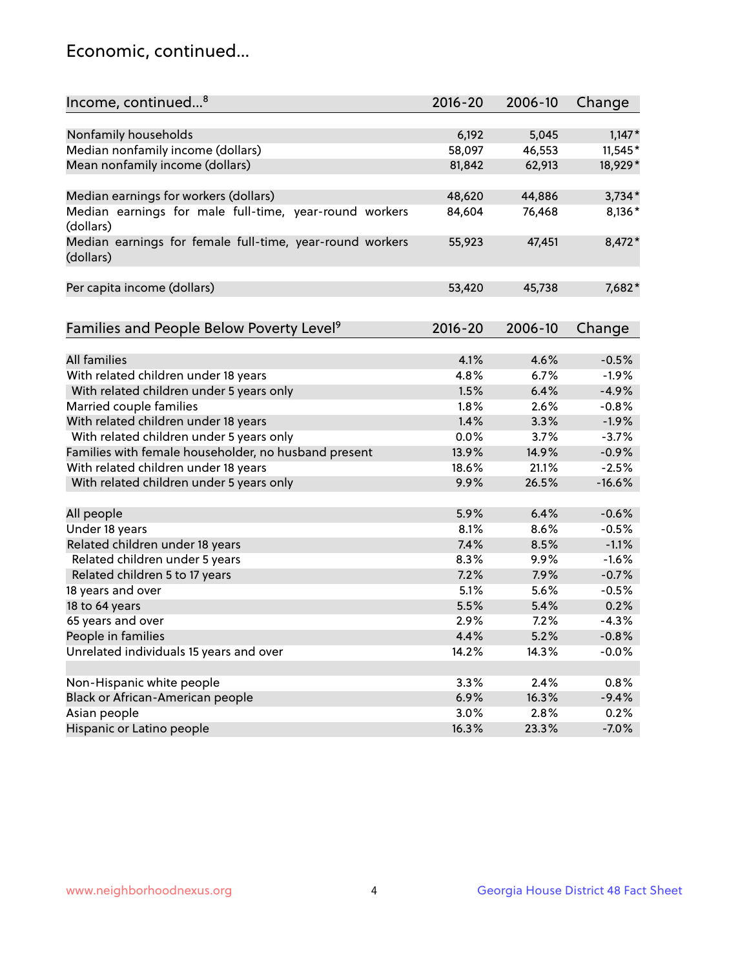## Economic, continued...

| Income, continued <sup>8</sup>                           | 2016-20 | 2006-10 | Change   |
|----------------------------------------------------------|---------|---------|----------|
|                                                          |         |         |          |
| Nonfamily households                                     | 6,192   | 5,045   | $1,147*$ |
| Median nonfamily income (dollars)                        | 58,097  | 46,553  | 11,545*  |
| Mean nonfamily income (dollars)                          | 81,842  | 62,913  | 18,929*  |
|                                                          |         |         |          |
| Median earnings for workers (dollars)                    | 48,620  | 44,886  | $3,734*$ |
| Median earnings for male full-time, year-round workers   | 84,604  | 76,468  | 8,136*   |
| (dollars)                                                |         |         |          |
| Median earnings for female full-time, year-round workers | 55,923  | 47,451  | 8,472*   |
| (dollars)                                                |         |         |          |
|                                                          |         |         |          |
| Per capita income (dollars)                              | 53,420  | 45,738  | 7,682*   |
|                                                          |         |         |          |
| Families and People Below Poverty Level <sup>9</sup>     | 2016-20 | 2006-10 | Change   |
|                                                          |         |         |          |
| <b>All families</b>                                      | 4.1%    | 4.6%    | $-0.5%$  |
| With related children under 18 years                     | 4.8%    | 6.7%    | $-1.9%$  |
| With related children under 5 years only                 | 1.5%    | 6.4%    | $-4.9%$  |
| Married couple families                                  | 1.8%    | 2.6%    | $-0.8%$  |
| With related children under 18 years                     | 1.4%    | 3.3%    | $-1.9%$  |
| With related children under 5 years only                 | 0.0%    | 3.7%    | $-3.7%$  |
| Families with female householder, no husband present     | 13.9%   | 14.9%   | $-0.9%$  |
| With related children under 18 years                     | 18.6%   | 21.1%   | $-2.5%$  |
| With related children under 5 years only                 | 9.9%    | 26.5%   | $-16.6%$ |
|                                                          |         |         |          |
| All people                                               | 5.9%    | 6.4%    | $-0.6%$  |
| Under 18 years                                           | 8.1%    | 8.6%    | $-0.5%$  |
| Related children under 18 years                          | 7.4%    | 8.5%    | $-1.1%$  |
| Related children under 5 years                           | 8.3%    | 9.9%    | $-1.6%$  |
| Related children 5 to 17 years                           | 7.2%    | 7.9%    | $-0.7%$  |
| 18 years and over                                        | 5.1%    | 5.6%    | $-0.5%$  |
| 18 to 64 years                                           | 5.5%    | 5.4%    | 0.2%     |
| 65 years and over                                        | 2.9%    | 7.2%    | $-4.3%$  |
| People in families                                       | 4.4%    | 5.2%    | $-0.8%$  |
| Unrelated individuals 15 years and over                  | 14.2%   | 14.3%   | $-0.0%$  |
|                                                          |         |         |          |
| Non-Hispanic white people                                | 3.3%    | 2.4%    | 0.8%     |
| Black or African-American people                         | 6.9%    | 16.3%   | $-9.4%$  |
| Asian people                                             | 3.0%    | 2.8%    | 0.2%     |
| Hispanic or Latino people                                | 16.3%   | 23.3%   | $-7.0%$  |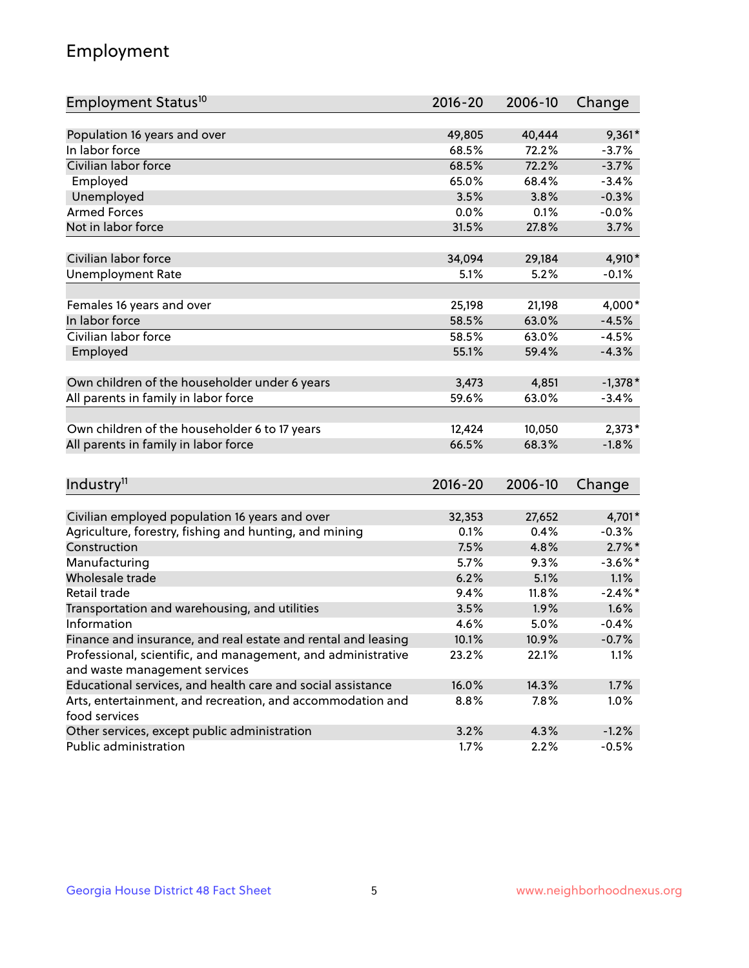## Employment

| Employment Status <sup>10</sup>                                                               | $2016 - 20$ | 2006-10 | Change          |
|-----------------------------------------------------------------------------------------------|-------------|---------|-----------------|
|                                                                                               |             |         |                 |
| Population 16 years and over                                                                  | 49,805      | 40,444  | $9,361*$        |
| In labor force                                                                                | 68.5%       | 72.2%   | $-3.7%$         |
| Civilian labor force                                                                          | 68.5%       | 72.2%   | $-3.7%$         |
| Employed                                                                                      | 65.0%       | 68.4%   | $-3.4%$         |
| Unemployed                                                                                    | 3.5%        | 3.8%    | $-0.3%$         |
| <b>Armed Forces</b>                                                                           | 0.0%        | 0.1%    | $-0.0%$         |
| Not in labor force                                                                            | 31.5%       | 27.8%   | 3.7%            |
|                                                                                               |             |         |                 |
| Civilian labor force                                                                          | 34,094      | 29,184  | 4,910*          |
| <b>Unemployment Rate</b>                                                                      | 5.1%        | 5.2%    | $-0.1%$         |
| Females 16 years and over                                                                     | 25,198      | 21,198  | 4,000*          |
| In labor force                                                                                | 58.5%       | 63.0%   | $-4.5%$         |
| Civilian labor force                                                                          | 58.5%       | 63.0%   | $-4.5%$         |
| Employed                                                                                      | 55.1%       | 59.4%   | $-4.3%$         |
|                                                                                               |             |         |                 |
| Own children of the householder under 6 years                                                 | 3,473       | 4,851   | $-1,378*$       |
| All parents in family in labor force                                                          | 59.6%       | 63.0%   | $-3.4%$         |
|                                                                                               |             |         |                 |
| Own children of the householder 6 to 17 years                                                 | 12,424      | 10,050  | $2,373*$        |
| All parents in family in labor force                                                          | 66.5%       | 68.3%   | $-1.8%$         |
|                                                                                               |             |         |                 |
| Industry <sup>11</sup>                                                                        | $2016 - 20$ | 2006-10 | Change          |
|                                                                                               |             |         |                 |
| Civilian employed population 16 years and over                                                | 32,353      | 27,652  | 4,701*          |
| Agriculture, forestry, fishing and hunting, and mining                                        | 0.1%        | 0.4%    | $-0.3%$         |
| Construction                                                                                  | 7.5%        | 4.8%    | $2.7\%$ *       |
| Manufacturing                                                                                 | 5.7%        | 9.3%    | $-3.6\%$ *      |
| Wholesale trade                                                                               | 6.2%        | 5.1%    | 1.1%            |
| Retail trade                                                                                  | 9.4%        | 11.8%   | $-2.4\%$ *      |
| Transportation and warehousing, and utilities                                                 | 3.5%        | 1.9%    | 1.6%<br>$-0.4%$ |
| Information                                                                                   | 4.6%        | 5.0%    |                 |
| Finance and insurance, and real estate and rental and leasing                                 | 10.1%       | 10.9%   | $-0.7%$         |
| Professional, scientific, and management, and administrative<br>and waste management services | 23.2%       | 22.1%   | 1.1%            |
| Educational services, and health care and social assistance                                   | 16.0%       | 14.3%   | 1.7%            |
|                                                                                               |             |         |                 |
| Arts, entertainment, and recreation, and accommodation and<br>food services                   | 8.8%        | 7.8%    | 1.0%            |
| Other services, except public administration                                                  | 3.2%        | 4.3%    | $-1.2%$         |
| Public administration                                                                         | 1.7%        | 2.2%    | $-0.5%$         |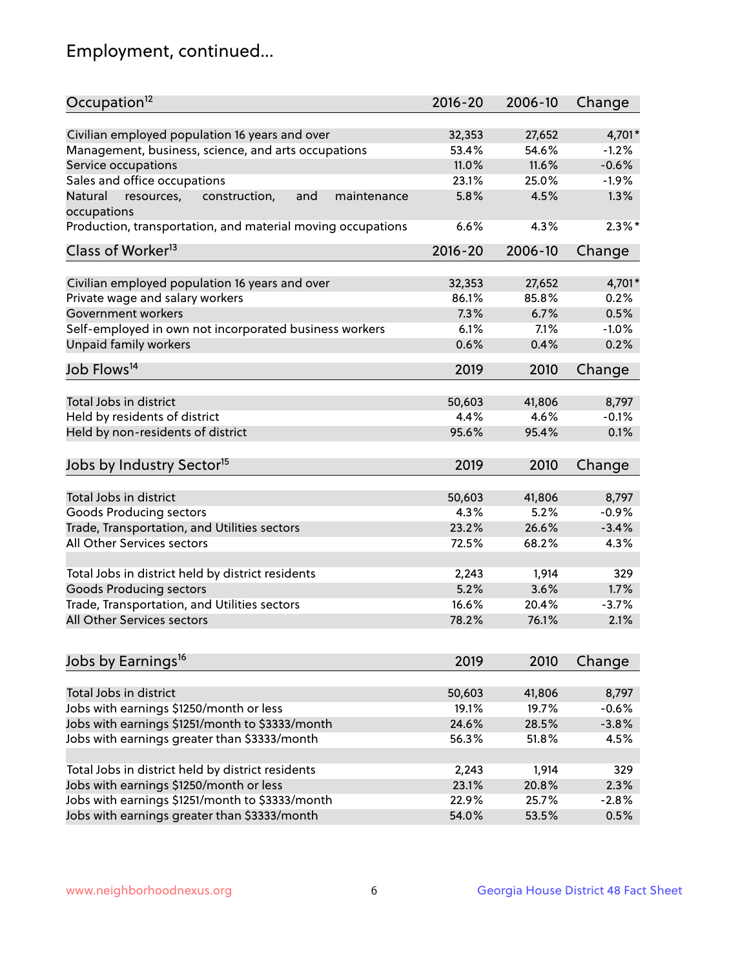## Employment, continued...

| Occupation <sup>12</sup>                                                    | $2016 - 20$ | 2006-10 | Change    |
|-----------------------------------------------------------------------------|-------------|---------|-----------|
| Civilian employed population 16 years and over                              | 32,353      | 27,652  | 4,701*    |
| Management, business, science, and arts occupations                         | 53.4%       | 54.6%   | $-1.2%$   |
| Service occupations                                                         | 11.0%       | 11.6%   | $-0.6%$   |
| Sales and office occupations                                                | 23.1%       | 25.0%   | $-1.9%$   |
|                                                                             |             |         | 1.3%      |
| Natural<br>and<br>resources,<br>construction,<br>maintenance<br>occupations | 5.8%        | 4.5%    |           |
| Production, transportation, and material moving occupations                 | 6.6%        | 4.3%    | $2.3\%$ * |
| Class of Worker <sup>13</sup>                                               | $2016 - 20$ | 2006-10 | Change    |
|                                                                             |             |         |           |
| Civilian employed population 16 years and over                              | 32,353      | 27,652  | 4,701*    |
| Private wage and salary workers                                             | 86.1%       | 85.8%   | 0.2%      |
| Government workers                                                          | 7.3%        | 6.7%    | 0.5%      |
| Self-employed in own not incorporated business workers                      | 6.1%        | 7.1%    | $-1.0%$   |
| <b>Unpaid family workers</b>                                                | 0.6%        | 0.4%    | 0.2%      |
| Job Flows <sup>14</sup>                                                     | 2019        | 2010    | Change    |
|                                                                             |             |         |           |
| Total Jobs in district                                                      | 50,603      | 41,806  | 8,797     |
| Held by residents of district                                               | 4.4%        | 4.6%    | $-0.1%$   |
| Held by non-residents of district                                           | 95.6%       | 95.4%   | 0.1%      |
| Jobs by Industry Sector <sup>15</sup>                                       | 2019        | 2010    | Change    |
|                                                                             |             |         |           |
| Total Jobs in district                                                      | 50,603      | 41,806  | 8,797     |
| Goods Producing sectors                                                     | 4.3%        | 5.2%    | $-0.9%$   |
| Trade, Transportation, and Utilities sectors                                | 23.2%       | 26.6%   | $-3.4%$   |
| All Other Services sectors                                                  | 72.5%       | 68.2%   | 4.3%      |
| Total Jobs in district held by district residents                           | 2,243       | 1,914   | 329       |
|                                                                             | 5.2%        |         |           |
| <b>Goods Producing sectors</b>                                              |             | 3.6%    | 1.7%      |
| Trade, Transportation, and Utilities sectors                                | 16.6%       | 20.4%   | $-3.7%$   |
| All Other Services sectors                                                  | 78.2%       | 76.1%   | 2.1%      |
| Jobs by Earnings <sup>16</sup>                                              | 2019        | 2010    | Change    |
|                                                                             |             |         |           |
| Total Jobs in district                                                      | 50,603      | 41,806  | 8,797     |
| Jobs with earnings \$1250/month or less                                     | 19.1%       | 19.7%   | $-0.6%$   |
| Jobs with earnings \$1251/month to \$3333/month                             | 24.6%       | 28.5%   | $-3.8%$   |
| Jobs with earnings greater than \$3333/month                                | 56.3%       | 51.8%   | 4.5%      |
|                                                                             |             |         |           |
| Total Jobs in district held by district residents                           | 2,243       | 1,914   | 329       |
| Jobs with earnings \$1250/month or less                                     | 23.1%       | 20.8%   | 2.3%      |
| Jobs with earnings \$1251/month to \$3333/month                             | 22.9%       | 25.7%   | $-2.8%$   |
| Jobs with earnings greater than \$3333/month                                | 54.0%       | 53.5%   | 0.5%      |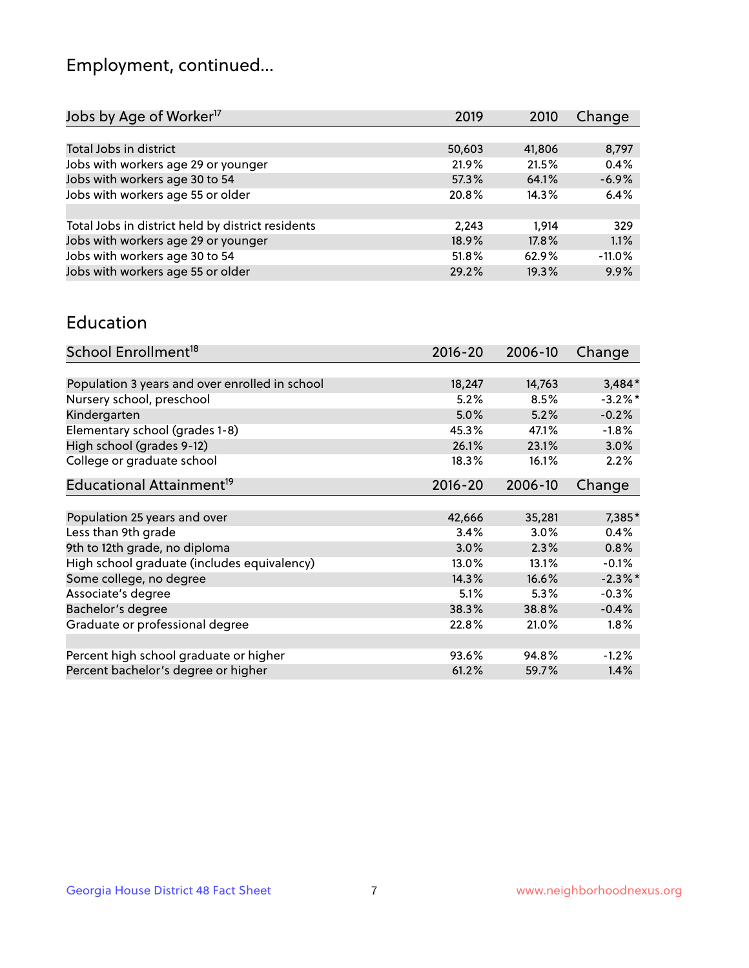## Employment, continued...

| 2019   | 2010   | Change   |
|--------|--------|----------|
|        |        |          |
| 50,603 | 41,806 | 8,797    |
| 21.9%  | 21.5%  | 0.4%     |
| 57.3%  | 64.1%  | $-6.9%$  |
| 20.8%  | 14.3%  | 6.4%     |
|        |        |          |
| 2,243  | 1.914  | 329      |
| 18.9%  | 17.8%  | 1.1%     |
| 51.8%  | 62.9%  | $-11.0%$ |
| 29.2%  | 19.3%  | 9.9%     |
|        |        |          |

#### Education

| School Enrollment <sup>18</sup>                | $2016 - 20$ | 2006-10 | Change     |
|------------------------------------------------|-------------|---------|------------|
|                                                |             |         |            |
| Population 3 years and over enrolled in school | 18,247      | 14,763  | $3,484*$   |
| Nursery school, preschool                      | 5.2%        | 8.5%    | $-3.2\%$ * |
| Kindergarten                                   | 5.0%        | 5.2%    | $-0.2%$    |
| Elementary school (grades 1-8)                 | 45.3%       | 47.1%   | $-1.8%$    |
| High school (grades 9-12)                      | 26.1%       | 23.1%   | 3.0%       |
| College or graduate school                     | 18.3%       | 16.1%   | 2.2%       |
| Educational Attainment <sup>19</sup>           | $2016 - 20$ | 2006-10 | Change     |
|                                                |             |         |            |
| Population 25 years and over                   | 42,666      | 35,281  | 7,385*     |
| Less than 9th grade                            | 3.4%        | 3.0%    | 0.4%       |
| 9th to 12th grade, no diploma                  | 3.0%        | 2.3%    | $0.8\%$    |
| High school graduate (includes equivalency)    | 13.0%       | 13.1%   | $-0.1%$    |
| Some college, no degree                        | 14.3%       | 16.6%   | $-2.3\%$ * |
| Associate's degree                             | 5.1%        | 5.3%    | $-0.3%$    |
| Bachelor's degree                              | 38.3%       | 38.8%   | $-0.4%$    |
| Graduate or professional degree                | 22.8%       | 21.0%   | $1.8\%$    |
| Percent high school graduate or higher         | 93.6%       | 94.8%   | $-1.2%$    |
| Percent bachelor's degree or higher            | 61.2%       | 59.7%   | 1.4%       |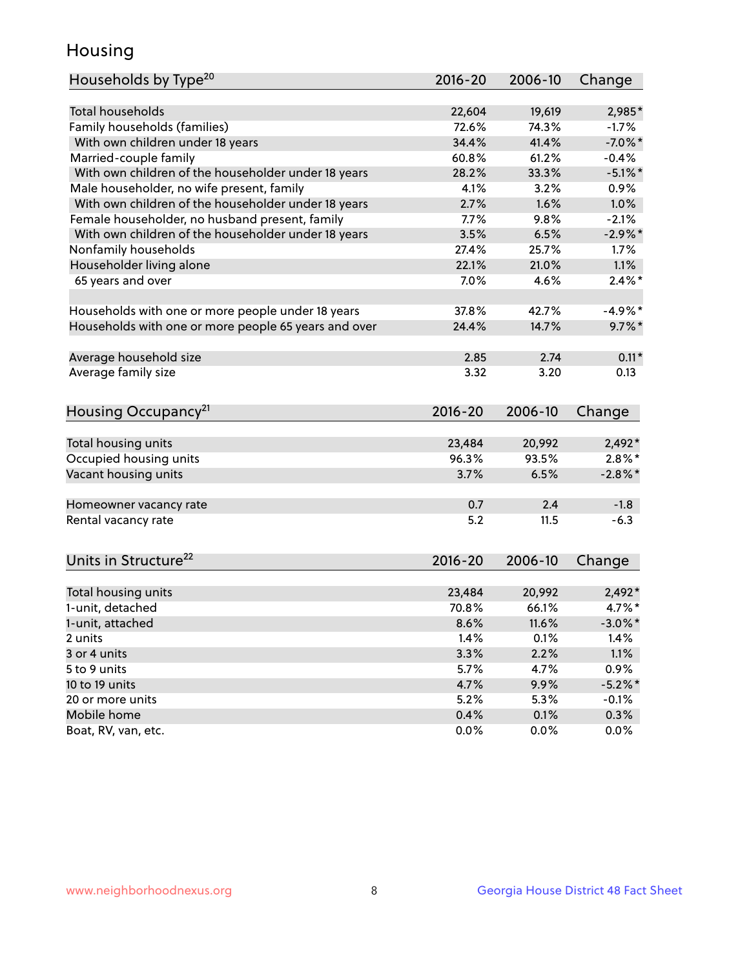## Housing

| Households by Type <sup>20</sup>                     | 2016-20     | 2006-10 | Change     |
|------------------------------------------------------|-------------|---------|------------|
|                                                      |             |         |            |
| <b>Total households</b>                              | 22,604      | 19,619  | 2,985*     |
| Family households (families)                         | 72.6%       | 74.3%   | $-1.7%$    |
| With own children under 18 years                     | 34.4%       | 41.4%   | $-7.0\%$ * |
| Married-couple family                                | 60.8%       | 61.2%   | $-0.4%$    |
| With own children of the householder under 18 years  | 28.2%       | 33.3%   | $-5.1\%$ * |
| Male householder, no wife present, family            | 4.1%        | 3.2%    | 0.9%       |
| With own children of the householder under 18 years  | 2.7%        | 1.6%    | 1.0%       |
| Female householder, no husband present, family       | 7.7%        | 9.8%    | $-2.1%$    |
| With own children of the householder under 18 years  | 3.5%        | 6.5%    | $-2.9\%$ * |
| Nonfamily households                                 | 27.4%       | 25.7%   | $1.7\%$    |
| Householder living alone                             | 22.1%       | 21.0%   | 1.1%       |
| 65 years and over                                    | 7.0%        | 4.6%    | $2.4\%$ *  |
|                                                      |             |         |            |
| Households with one or more people under 18 years    | 37.8%       | 42.7%   | $-4.9%$ *  |
| Households with one or more people 65 years and over | 24.4%       | 14.7%   | $9.7\%$ *  |
|                                                      |             |         |            |
| Average household size                               | 2.85        | 2.74    | $0.11*$    |
| Average family size                                  | 3.32        | 3.20    | 0.13       |
|                                                      |             |         |            |
| Housing Occupancy <sup>21</sup>                      | $2016 - 20$ | 2006-10 | Change     |
|                                                      |             |         |            |
| Total housing units                                  | 23,484      | 20,992  | 2,492*     |
| Occupied housing units                               | 96.3%       | 93.5%   | $2.8\%$ *  |
| Vacant housing units                                 | 3.7%        | 6.5%    | $-2.8\%$ * |
| Homeowner vacancy rate                               | 0.7         | 2.4     | $-1.8$     |
| Rental vacancy rate                                  | 5.2         | 11.5    | $-6.3$     |
|                                                      |             |         |            |
| Units in Structure <sup>22</sup>                     | $2016 - 20$ | 2006-10 | Change     |
|                                                      |             |         |            |
| Total housing units                                  | 23,484      | 20,992  | $2,492*$   |
| 1-unit, detached                                     | 70.8%       | 66.1%   | 4.7%*      |
| 1-unit, attached                                     | 8.6%        | 11.6%   | $-3.0\%$ * |
| 2 units                                              | 1.4%        | 0.1%    | 1.4%       |
| 3 or 4 units                                         | 3.3%        | 2.2%    | 1.1%       |
| 5 to 9 units                                         | 5.7%        | 4.7%    | 0.9%       |
| 10 to 19 units                                       | 4.7%        | 9.9%    | $-5.2\%$ * |
| 20 or more units                                     | 5.2%        | 5.3%    | $-0.1%$    |
| Mobile home                                          | 0.4%        | 0.1%    | 0.3%       |
| Boat, RV, van, etc.                                  | 0.0%        | 0.0%    | 0.0%       |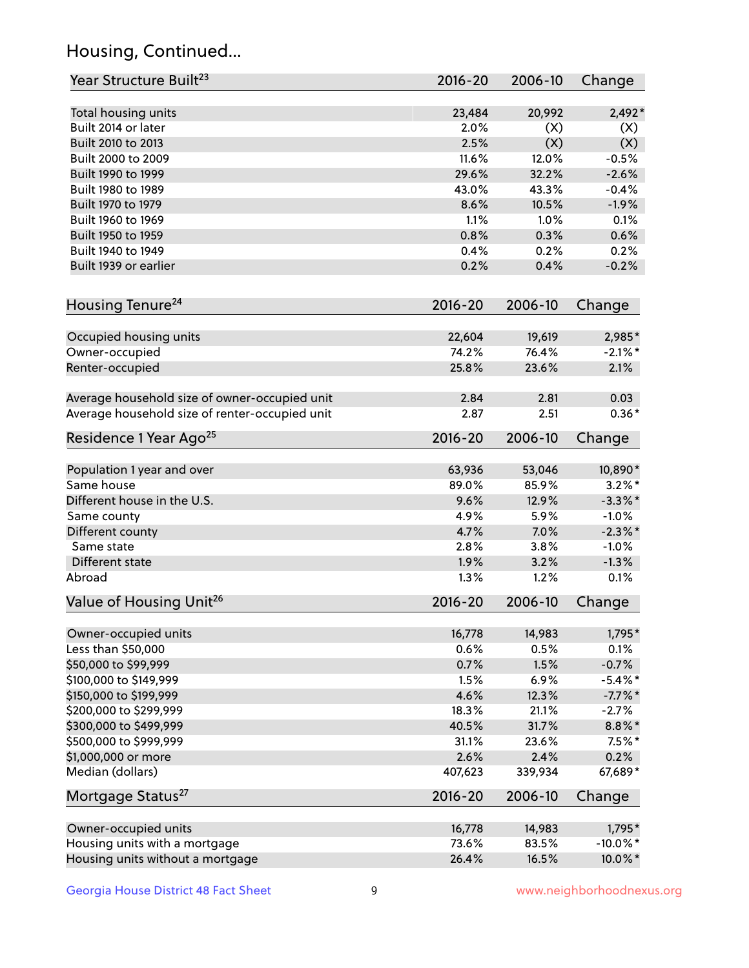## Housing, Continued...

| Year Structure Built <sup>23</sup>             | 2016-20         | 2006-10         | Change                |
|------------------------------------------------|-----------------|-----------------|-----------------------|
| Total housing units                            | 23,484          | 20,992          | $2,492*$              |
| Built 2014 or later                            | 2.0%            | (X)             | (X)                   |
| Built 2010 to 2013                             | 2.5%            | (X)             | (X)                   |
| Built 2000 to 2009                             | 11.6%           | 12.0%           | $-0.5%$               |
| Built 1990 to 1999                             | 29.6%           | 32.2%           | $-2.6%$               |
| Built 1980 to 1989                             | 43.0%           | 43.3%           | $-0.4%$               |
| Built 1970 to 1979                             | 8.6%            | 10.5%           | $-1.9%$               |
| Built 1960 to 1969                             | 1.1%            | 1.0%            | 0.1%                  |
| Built 1950 to 1959                             | 0.8%            | 0.3%            | 0.6%                  |
| Built 1940 to 1949                             | 0.4%            | 0.2%            | 0.2%                  |
| Built 1939 or earlier                          | 0.2%            | 0.4%            | $-0.2%$               |
|                                                |                 |                 |                       |
| Housing Tenure <sup>24</sup>                   | 2016-20         | 2006-10         | Change                |
| Occupied housing units                         | 22,604          | 19,619          | 2,985*                |
| Owner-occupied                                 | 74.2%           | 76.4%           | $-2.1\%$ *            |
| Renter-occupied                                | 25.8%           | 23.6%           | 2.1%                  |
| Average household size of owner-occupied unit  | 2.84            | 2.81            | 0.03                  |
| Average household size of renter-occupied unit | 2.87            | 2.51            | $0.36*$               |
| Residence 1 Year Ago <sup>25</sup>             | 2016-20         | 2006-10         | Change                |
|                                                |                 |                 |                       |
| Population 1 year and over<br>Same house       | 63,936<br>89.0% | 53,046<br>85.9% | 10,890*<br>$3.2\%$ *  |
|                                                |                 |                 |                       |
| Different house in the U.S.                    | 9.6%<br>4.9%    | 12.9%<br>5.9%   | $-3.3\%$ *<br>$-1.0%$ |
| Same county                                    | 4.7%            | 7.0%            | $-2.3\%$ *            |
| Different county<br>Same state                 | 2.8%            | 3.8%            | $-1.0%$               |
| Different state                                | 1.9%            | 3.2%            | $-1.3%$               |
| Abroad                                         | 1.3%            | 1.2%            | 0.1%                  |
|                                                |                 |                 |                       |
| Value of Housing Unit <sup>26</sup>            | $2016 - 20$     | 2006-10         | Change                |
| Owner-occupied units                           | 16,778          | 14,983          | 1,795*                |
| Less than \$50,000                             | 0.6%            | 0.5%            | 0.1%                  |
| \$50,000 to \$99,999                           | 0.7%            | 1.5%            | $-0.7%$               |
| \$100,000 to \$149,999                         | 1.5%            | 6.9%            | $-5.4\%$ *            |
| \$150,000 to \$199,999                         | 4.6%            | 12.3%           | $-7.7%$ *             |
| \$200,000 to \$299,999                         | 18.3%           | 21.1%           | $-2.7%$               |
| \$300,000 to \$499,999                         | 40.5%           | 31.7%           | $8.8\%$ *             |
| \$500,000 to \$999,999                         | 31.1%           | 23.6%           | $7.5%$ *              |
| \$1,000,000 or more                            | 2.6%            | 2.4%            | 0.2%                  |
| Median (dollars)                               | 407,623         | 339,934         | 67,689*               |
| Mortgage Status <sup>27</sup>                  | $2016 - 20$     | 2006-10         | Change                |
| Owner-occupied units                           | 16,778          | 14,983          | $1,795*$              |
| Housing units with a mortgage                  | 73.6%           | 83.5%           | $-10.0\%$ *           |
| Housing units without a mortgage               | 26.4%           | 16.5%           | 10.0%*                |
|                                                |                 |                 |                       |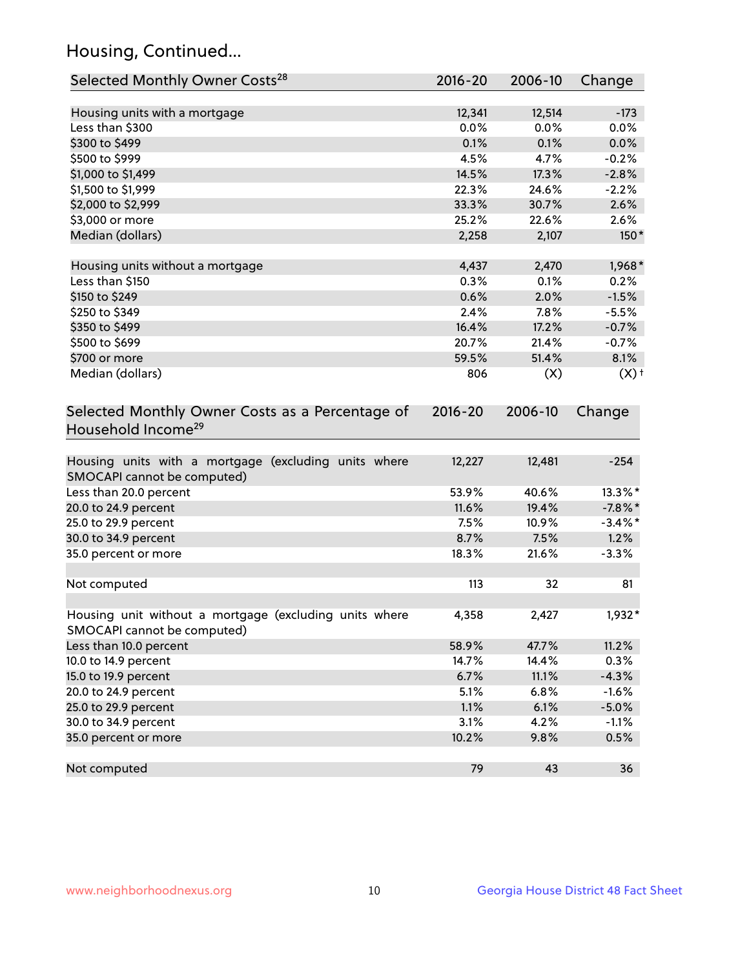## Housing, Continued...

| Selected Monthly Owner Costs <sup>28</sup>                                            | 2016-20 | 2006-10 | Change             |
|---------------------------------------------------------------------------------------|---------|---------|--------------------|
| Housing units with a mortgage                                                         | 12,341  | 12,514  | $-173$             |
| Less than \$300                                                                       | 0.0%    | 0.0%    | 0.0%               |
| \$300 to \$499                                                                        | 0.1%    | 0.1%    | 0.0%               |
| \$500 to \$999                                                                        | 4.5%    | 4.7%    | $-0.2%$            |
| \$1,000 to \$1,499                                                                    | 14.5%   | 17.3%   | $-2.8%$            |
| \$1,500 to \$1,999                                                                    | 22.3%   | 24.6%   | $-2.2%$            |
| \$2,000 to \$2,999                                                                    | 33.3%   | 30.7%   | 2.6%               |
| \$3,000 or more                                                                       | 25.2%   | 22.6%   | 2.6%               |
| Median (dollars)                                                                      | 2,258   | 2,107   | $150*$             |
| Housing units without a mortgage                                                      | 4,437   | 2,470   | 1,968*             |
| Less than \$150                                                                       | 0.3%    | 0.1%    | 0.2%               |
| \$150 to \$249                                                                        | 0.6%    | 2.0%    | $-1.5%$            |
| \$250 to \$349                                                                        | 2.4%    | 7.8%    | $-5.5%$            |
| \$350 to \$499                                                                        | 16.4%   | 17.2%   | $-0.7%$            |
| \$500 to \$699                                                                        | 20.7%   | 21.4%   | $-0.7%$            |
| \$700 or more                                                                         | 59.5%   | 51.4%   | 8.1%               |
| Median (dollars)                                                                      | 806     | (X)     | $(X)$ <sup>+</sup> |
| Selected Monthly Owner Costs as a Percentage of<br>Household Income <sup>29</sup>     |         |         | Change             |
| Housing units with a mortgage (excluding units where<br>SMOCAPI cannot be computed)   | 12,227  | 12,481  | $-254$             |
| Less than 20.0 percent                                                                | 53.9%   | 40.6%   | 13.3%*             |
| 20.0 to 24.9 percent                                                                  | 11.6%   | 19.4%   | $-7.8\%$ *         |
| 25.0 to 29.9 percent                                                                  | 7.5%    | 10.9%   | $-3.4\%$ *         |
| 30.0 to 34.9 percent                                                                  | 8.7%    | 7.5%    | 1.2%               |
| 35.0 percent or more                                                                  | 18.3%   | 21.6%   | $-3.3%$            |
| Not computed                                                                          | 113     | 32      | 81                 |
| Housing unit without a mortgage (excluding units where<br>SMOCAPI cannot be computed) | 4,358   | 2,427   | 1,932*             |
| Less than 10.0 percent                                                                | 58.9%   | 47.7%   | 11.2%              |
| 10.0 to 14.9 percent                                                                  | 14.7%   | 14.4%   | 0.3%               |
| 15.0 to 19.9 percent                                                                  | 6.7%    | 11.1%   | $-4.3%$            |
| 20.0 to 24.9 percent                                                                  | 5.1%    | 6.8%    | $-1.6%$            |
| 25.0 to 29.9 percent                                                                  | 1.1%    | 6.1%    | $-5.0%$            |
| 30.0 to 34.9 percent                                                                  | 3.1%    | 4.2%    | $-1.1%$            |
| 35.0 percent or more                                                                  | 10.2%   | 9.8%    | 0.5%               |
| Not computed                                                                          | 79      | 43      | 36                 |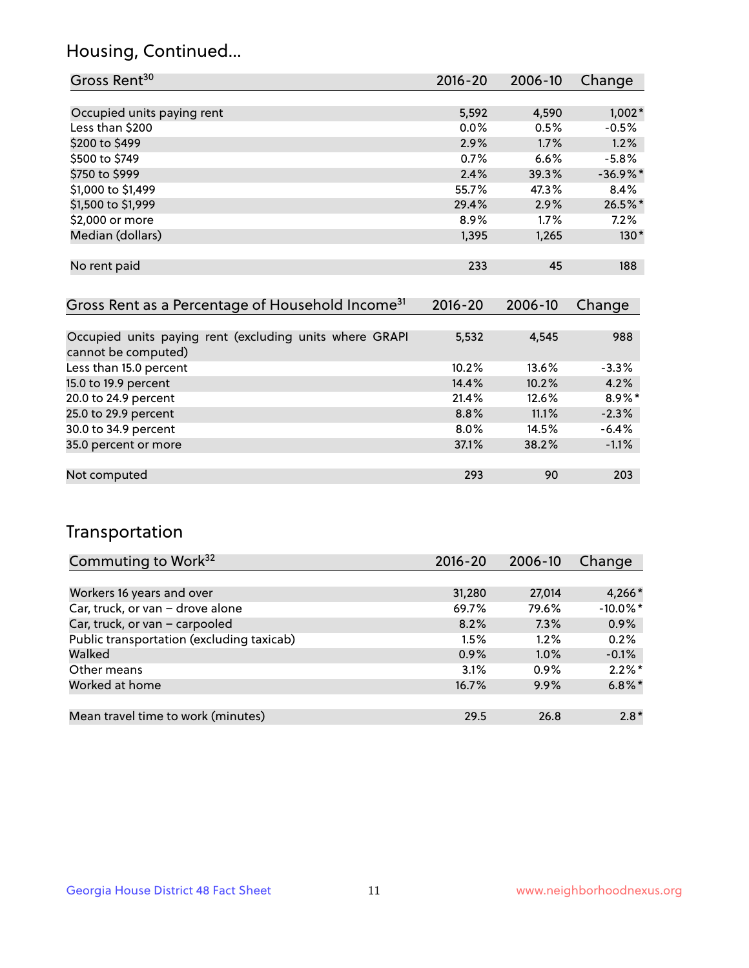## Housing, Continued...

| Gross Rent <sup>30</sup>                                     | 2016-20     | 2006-10     | Change     |
|--------------------------------------------------------------|-------------|-------------|------------|
|                                                              |             |             |            |
| Occupied units paying rent                                   | 5,592       | 4,590       | $1,002*$   |
| Less than \$200                                              | $0.0\%$     | 0.5%        | $-0.5%$    |
| \$200 to \$499                                               | 2.9%        | 1.7%        | 1.2%       |
| \$500 to \$749                                               | $0.7\%$     | 6.6%        | $-5.8\%$   |
| \$750 to \$999                                               | 2.4%        | 39.3%       | $-36.9%$ * |
| \$1,000 to \$1,499                                           | 55.7%       | 47.3%       | 8.4%       |
| \$1,500 to \$1,999                                           | 29.4%       | 2.9%        | 26.5%*     |
| \$2,000 or more                                              | 8.9%        | 1.7%        | $7.2\%$    |
| Median (dollars)                                             | 1,395       | 1,265       | $130*$     |
|                                                              |             |             |            |
| No rent paid                                                 | 233         | 45          | 188        |
|                                                              |             |             |            |
| Gross Rent as a Percentage of Household Income <sup>31</sup> | $2016 - 20$ | $2006 - 10$ | Change     |

| <u>Urbsschulden und die Genedige billiogschuld incomp</u> | $\sim$ $\sim$ $\sim$ | <b>LVVV</b> 19 | 11111   |
|-----------------------------------------------------------|----------------------|----------------|---------|
|                                                           |                      |                |         |
| Occupied units paying rent (excluding units where GRAPI   | 5,532                | 4,545          | 988     |
| cannot be computed)                                       |                      |                |         |
| Less than 15.0 percent                                    | 10.2%                | 13.6%          | $-3.3%$ |
| 15.0 to 19.9 percent                                      | 14.4%                | 10.2%          | 4.2%    |
| 20.0 to 24.9 percent                                      | 21.4%                | 12.6%          | 8.9%*   |
| 25.0 to 29.9 percent                                      | 8.8%                 | 11.1%          | $-2.3%$ |
| 30.0 to 34.9 percent                                      | $8.0\%$              | $14.5\%$       | $-6.4%$ |
| 35.0 percent or more                                      | 37.1%                | 38.2%          | $-1.1%$ |
|                                                           |                      |                |         |
| Not computed                                              | 293                  | 90             | 203     |

### Transportation

| Commuting to Work <sup>32</sup>           | $2016 - 20$ | 2006-10 | Change      |
|-------------------------------------------|-------------|---------|-------------|
|                                           |             |         |             |
| Workers 16 years and over                 | 31,280      | 27.014  | $4,266*$    |
| Car, truck, or van - drove alone          | 69.7%       | 79.6%   | $-10.0\%$ * |
| Car, truck, or van - carpooled            | 8.2%        | 7.3%    | 0.9%        |
| Public transportation (excluding taxicab) | 1.5%        | 1.2%    | 0.2%        |
| Walked                                    | 0.9%        | 1.0%    | $-0.1%$     |
| Other means                               | 3.1%        | $0.9\%$ | $2.2\%$ *   |
| Worked at home                            | 16.7%       | 9.9%    | $6.8\%$ *   |
|                                           |             |         |             |
| Mean travel time to work (minutes)        | 29.5        | 26.8    | $2.8*$      |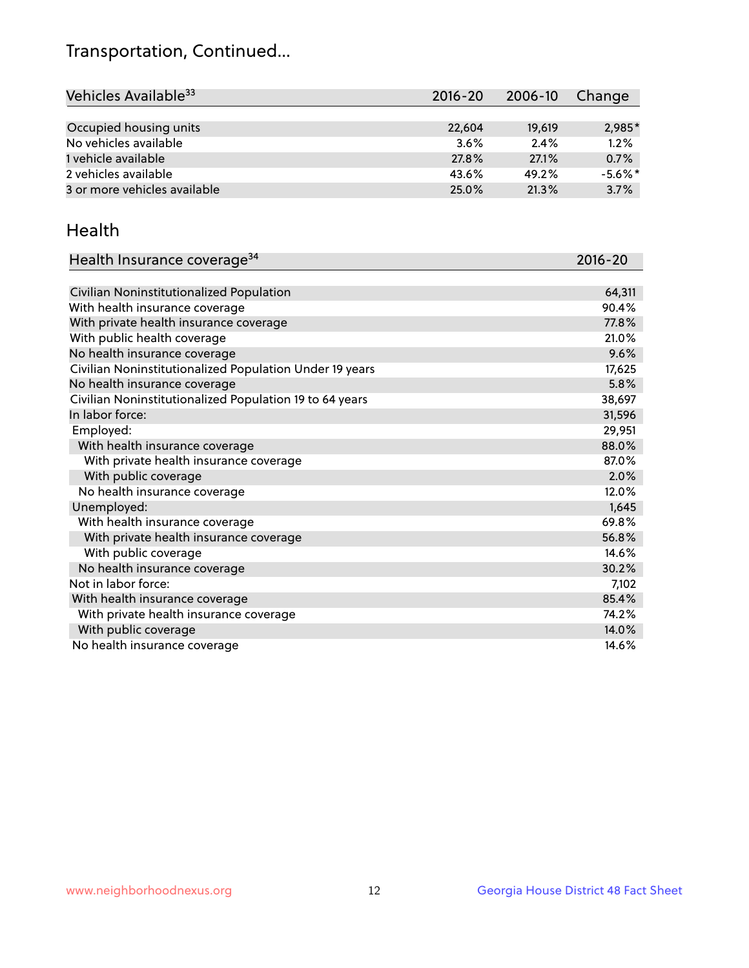## Transportation, Continued...

| Vehicles Available <sup>33</sup> | $2016 - 20$ | $2006 - 10$ | Change     |
|----------------------------------|-------------|-------------|------------|
|                                  |             |             |            |
| Occupied housing units           | 22.604      | 19,619      | 2,985*     |
| No vehicles available            | 3.6%        | 2.4%        | 1.2%       |
| 1 vehicle available              | 27.8%       | 27.1%       | 0.7%       |
| 2 vehicles available             | 43.6%       | 49.2%       | $-5.6\%$ * |
| 3 or more vehicles available     | 25.0%       | 21.3%       | 3.7%       |

#### Health

| Health Insurance coverage <sup>34</sup>                 | 2016-20 |
|---------------------------------------------------------|---------|
|                                                         |         |
| Civilian Noninstitutionalized Population                | 64,311  |
| With health insurance coverage                          | 90.4%   |
| With private health insurance coverage                  | 77.8%   |
| With public health coverage                             | 21.0%   |
| No health insurance coverage                            | 9.6%    |
| Civilian Noninstitutionalized Population Under 19 years | 17,625  |
| No health insurance coverage                            | 5.8%    |
| Civilian Noninstitutionalized Population 19 to 64 years | 38,697  |
| In labor force:                                         | 31,596  |
| Employed:                                               | 29,951  |
| With health insurance coverage                          | 88.0%   |
| With private health insurance coverage                  | 87.0%   |
| With public coverage                                    | 2.0%    |
| No health insurance coverage                            | 12.0%   |
| Unemployed:                                             | 1,645   |
| With health insurance coverage                          | 69.8%   |
| With private health insurance coverage                  | 56.8%   |
| With public coverage                                    | 14.6%   |
| No health insurance coverage                            | 30.2%   |
| Not in labor force:                                     | 7,102   |
| With health insurance coverage                          | 85.4%   |
| With private health insurance coverage                  | 74.2%   |
| With public coverage                                    | 14.0%   |
| No health insurance coverage                            | 14.6%   |